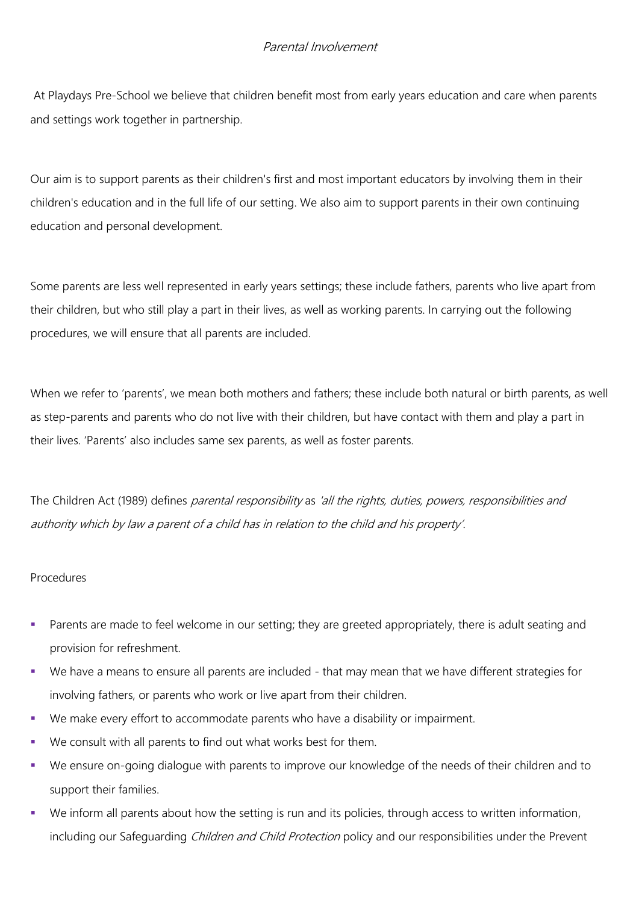## Parental Involvement

At Playdays Pre-School we believe that children benefit most from early years education and care when parents and settings work together in partnership.

Our aim is to support parents as their children's first and most important educators by involving them in their children's education and in the full life of our setting. We also aim to support parents in their own continuing education and personal development.

Some parents are less well represented in early years settings; these include fathers, parents who live apart from their children, but who still play a part in their lives, as well as working parents. In carrying out the following procedures, we will ensure that all parents are included.

When we refer to 'parents', we mean both mothers and fathers; these include both natural or birth parents, as well as step-parents and parents who do not live with their children, but have contact with them and play a part in their lives. 'Parents' also includes same sex parents, as well as foster parents.

The Children Act (1989) defines *parental responsibility* as 'all the rights, duties, powers, responsibilities and authority which by law a parent of a child has in relation to the child and his property'.

## Procedures

- Parents are made to feel welcome in our setting; they are greeted appropriately, there is adult seating and provision for refreshment.
- We have a means to ensure all parents are included that may mean that we have different strategies for involving fathers, or parents who work or live apart from their children.
- We make every effort to accommodate parents who have a disability or impairment.
- We consult with all parents to find out what works best for them.
- We ensure on-going dialogue with parents to improve our knowledge of the needs of their children and to support their families.
- We inform all parents about how the setting is run and its policies, through access to written information, including our Safeguarding *Children and Child Protection* policy and our responsibilities under the Prevent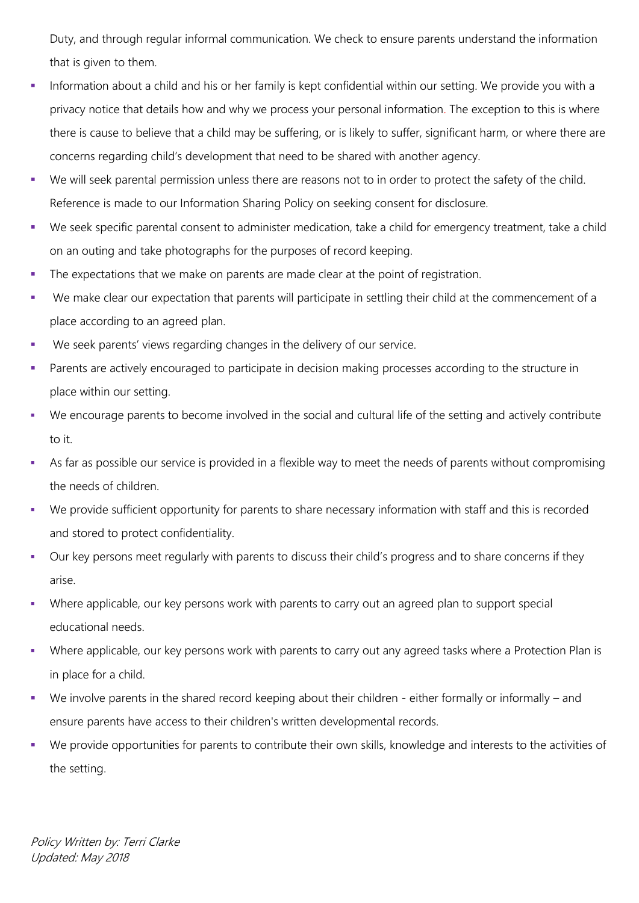Duty, and through regular informal communication. We check to ensure parents understand the information that is given to them.

- Information about a child and his or her family is kept confidential within our setting. We provide you with a privacy notice that details how and why we process your personal information. The exception to this is where there is cause to believe that a child may be suffering, or is likely to suffer, significant harm, or where there are concerns regarding child's development that need to be shared with another agency.
- We will seek parental permission unless there are reasons not to in order to protect the safety of the child. Reference is made to our Information Sharing Policy on seeking consent for disclosure.
- We seek specific parental consent to administer medication, take a child for emergency treatment, take a child on an outing and take photographs for the purposes of record keeping.
- The expectations that we make on parents are made clear at the point of registration.
- We make clear our expectation that parents will participate in settling their child at the commencement of a place according to an agreed plan.
- We seek parents' views regarding changes in the delivery of our service.
- Parents are actively encouraged to participate in decision making processes according to the structure in place within our setting.
- We encourage parents to become involved in the social and cultural life of the setting and actively contribute to it.
- As far as possible our service is provided in a flexible way to meet the needs of parents without compromising the needs of children.
- We provide sufficient opportunity for parents to share necessary information with staff and this is recorded and stored to protect confidentiality.
- Our key persons meet regularly with parents to discuss their child's progress and to share concerns if they arise.
- Where applicable, our key persons work with parents to carry out an agreed plan to support special educational needs.
- Where applicable, our key persons work with parents to carry out any agreed tasks where a Protection Plan is in place for a child.
- We involve parents in the shared record keeping about their children either formally or informally and ensure parents have access to their children's written developmental records.
- We provide opportunities for parents to contribute their own skills, knowledge and interests to the activities of the setting.